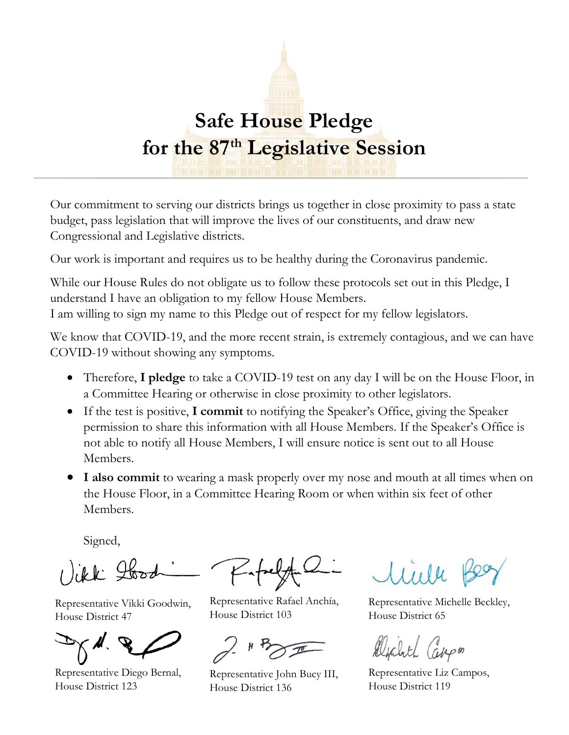## **Safe House Pledge for the 87th Legislative Session**

Our commitment to serving our districts brings us together in close proximity to pass a state budget, pass legislation that will improve the lives of our constituents, and draw new Congressional and Legislative districts.

Our work is important and requires us to be healthy during the Coronavirus pandemic.

While our House Rules do not obligate us to follow these protocols set out in this Pledge, I understand I have an obligation to my fellow House Members. I am willing to sign my name to this Pledge out of respect for my fellow legislators.

We know that COVID-19, and the more recent strain, is extremely contagious, and we can have COVID-19 without showing any symptoms.

- Therefore, **I pledge** to take a COVID-19 test on any day I will be on the House Floor, in a Committee Hearing or otherwise in close proximity to other legislators.
- If the test is positive, **I commit** to notifying the Speaker's Office, giving the Speaker permission to share this information with all House Members. If the Speaker's Office is not able to notify all House Members, I will ensure notice is sent out to all House Members.
- **I also commit** to wearing a mask properly over my nose and mouth at all times when on the House Floor, in a Committee Hearing Room or when within six feet of other Members.

Signed,

1) ikk Hood

Representative Vikki Goodwin, House District 47

Representative Diego Bernal, House District 123

Representative Rafael Anchía, House District 103

Representative John Bucy III, House District 136

Representative Michelle Beckley, House District 65

Depart Cappon

Representative Liz Campos, House District 119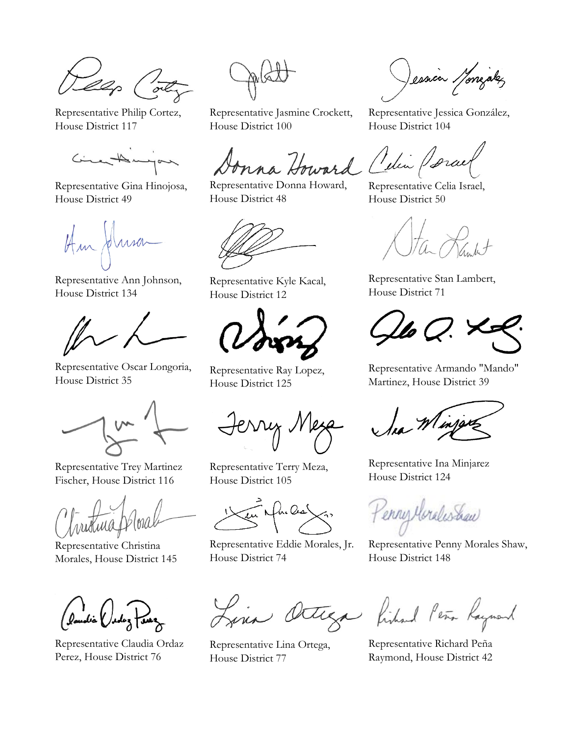llop (ot

Representative Philip Cortez, House District 117

Circutatingan

Representative Gina Hinojosa, House District 49

Hm Husa

Representative Ann Johnson, House District 134



Representative Oscar Longoria, House District 35

Representative Trey Martinez Fischer, House District 116

Representative Christina Morales, House District 145

landia (adaz faux

Representative Claudia Ordaz Perez, House District 76

Representative Jasmine Crockett, House District 100

nna Howard Celin Porce

Representative Donna Howard, House District 48

Representative Kyle Kacal, House District 12

Representative Ray Lopez, House District 125

erry Nesa

Representative Terry Meza, House District 105

en Mondes

Representative Eddie Morales, Jr. House District 74

Representative Lina Ortega, House District 77

Jessien Monigalez

Representative Jessica González, House District 104

Representative Celia Israel, House District 50

Representative Stan Lambert, House District 71

 $\mu$ o Q.

Representative Armando "Mando" Martinez, House District 39

Representative Ina Minjarez House District 124

Kenny Meralishaw

Representative Penny Morales Shaw, House District 148

Octega fished Peña Raymond

Representative Richard Peña Raymond, House District 42